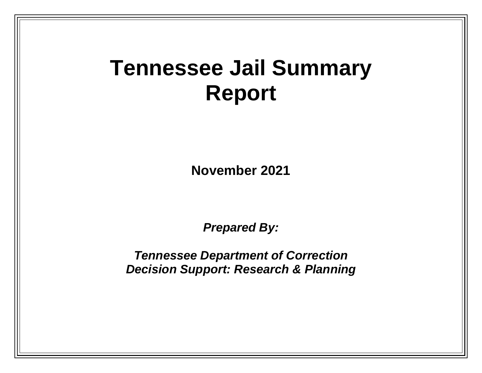# **Tennessee Jail Summary Report**

**November 2021**

*Prepared By:*

*Tennessee Department of Correction Decision Support: Research & Planning*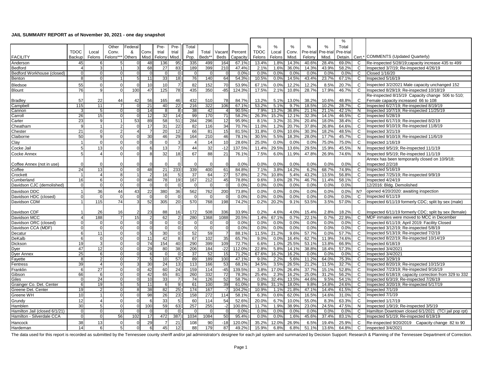#### **JAIL SUMMARY REPORT as of November 30, 2021 - one day snapshot**

| JAIL SUMMART REPURT AS OFNOVERIDED 30, 2021 - ONE GAY SHAPSHOU |                 |                |                |                |                |                 |                 |          |          |                 |          |             |               |       |                     |           | %        |              |                                                        |  |  |  |  |  |
|----------------------------------------------------------------|-----------------|----------------|----------------|----------------|----------------|-----------------|-----------------|----------|----------|-----------------|----------|-------------|---------------|-------|---------------------|-----------|----------|--------------|--------------------------------------------------------|--|--|--|--|--|
|                                                                |                 |                | Other          | Federal        |                | Pre-            | Pre-            | Total    |          |                 |          | %           | $\frac{0}{0}$ | %     | $\%$                | $\%$      | Total    |              |                                                        |  |  |  |  |  |
|                                                                | <b>TDOC</b>     | Local          | Conv.          | &              | Conv.          | trial           | trial           | Jail     | Total    | Vacan           | Percent  | <b>TDOC</b> | Local         | Conv. | Pre-trial           | Pre-trial | Pre-tria |              |                                                        |  |  |  |  |  |
| <b>FACILITY</b>                                                | Backup          | Felons         | Felons***      | Others         | Misd.          | Felony          | Misd.           | Pop.     | Beds*    | Beds            | Capacity | Felons      | Felons        | Misd. | Felony              | Misd.     | Detain.  | Cert.*       | COMMENTS (Updated Quarterly)                           |  |  |  |  |  |
| Anderson                                                       | 45              | 6              | 5              | $\mathbf 0$    | 48             | 136             | 95              | 335      | 499      | 164             | 67.1%    | 13.4%       | 1.8%          | 14.3% | 40.6%               | 28.4%     | 69.0%    | C            | Re-inspected 5/28/19;capacity increase 435 to 499      |  |  |  |  |  |
| Bedford                                                        | $\overline{4}$  | 3              |                | 3              | 68             | 27              | 83              | 189      | 399      | 210             | 47.4%    | 2.1%        | 1.6%          | 36.0% | 14.3%               | 43.9%     | 58.2%    | C            | Inspected 3/7/19; Re-inspected 4/26/19                 |  |  |  |  |  |
| Bedford Workhouse (closed)                                     | $\overline{0}$  | $\mathbf 0$    | $\Omega$       | $\mathbf 0$    | $\Omega$       | $\mathbf 0$     | $\overline{0}$  | $\Omega$ | $\Omega$ | $\overline{0}$  | 0.0%     | 0.0%        | 0.0%          | 0.0%  | 0.0%                | 0.0%      | 0.0%     | C            | <b>Closed 1/16/20</b>                                  |  |  |  |  |  |
| Benton                                                         | 8               | $\Omega$       |                | 5              | 11             | 33              | 18              | 76       | 140      | 64              | 54.3%    | 10.5%       | 0.0%          | 14.5% | 43.4%               | 23.7%     | 67.1%    | C            | Inspected 5/16/19                                      |  |  |  |  |  |
| Bledsoe                                                        | 55              | $\Omega$       | $\Omega$       | $\Omega$       | 10             | 10              | $\overline{7}$  | 82       | 152      | 70              | 53.9%    | 67.1%       | 0.0%          | 12.2% | 12.2%               | 8.5%      | 20.7%    | C            | Inspected 3/2/2021 Male capacity unchanged 152         |  |  |  |  |  |
| <b>Blount</b>                                                  | 76              | 9              | $\Omega$       | 100            | 47             | 125             | 78              | 435      | 350      | $-85$           | 124.3%   | 17.5%       | 2.1%          | 10.8% | 28.7%               | 17.9%     | 46.7%    | C            | Inspected 8/29/19; Re-inspected 10/18/19               |  |  |  |  |  |
|                                                                |                 |                |                |                |                |                 |                 |          |          |                 |          |             |               |       |                     |           |          |              | Re-inspected 8/15/19 Capacity change 506 to 510;       |  |  |  |  |  |
| <b>Bradley</b>                                                 | 57              | 22             | 44             | 42             | 56             | 165             | 46              | 432      | 510      | 78              | 84.7%    | 13.2%       | 5.1%          | 13.0% | 38.2%               | 10.6%     | 48.8%    | C            | Female capacity increased 66 to 108                    |  |  |  |  |  |
| Campbel                                                        | 115             | 11             |                | $\Omega$       | 21             | 40              | 22              | 216      | 322      | 106             | 67.1%    | 53.2%       | 5.1%          | 9.7%  | 18.5%               | 10.2%     | 28.7%    | C            | Inspected 6/27/19; Re-inspected 8/19/19                |  |  |  |  |  |
| Cannon                                                         | 3               | 5              | $\overline{0}$ | $\mathbf 0$    | 14             | 8               | $\overline{8}$  | 38       | 42       | 4               | 90.5%    | 7.9%        | 13.2%         | 36.8% | 21.1%               | 21.1%     | 42.1%    | N            | Inspected 10/7/19; Re-inspected 11/25/19               |  |  |  |  |  |
| Carroll                                                        | 26              | 15             |                | $\Omega$       | 12             | $\overline{32}$ | 14              | 99       | 170      | $\overline{71}$ | 58.2%    | 26.3%       | 15.2%         | 12.1% | 32.3%               | 14.1%     | 46.5%    | $\mathsf{C}$ | Inspected 5/28/19                                      |  |  |  |  |  |
| Carter                                                         | 23              | 9              | 11             | 53             | 89             | 58              | 51              | 284      | 296      | 12              | 95.9%    | 8.1%        | 3.2%          | 31.3% | 20.4%               | 18.0%     | 38.4%    | C            | Inspected 6/17/19; Re-inspected 8/2/19                 |  |  |  |  |  |
| Cheatham                                                       | 9               |                |                | $\mathbf 0$    | 17             | 31              | 22              | 82       | 116      | 34              | 70.7%    | 11.0%       | 1.2%          | 20.7% | 37.8%               | 26.8%     | 64.6%    | C            | Inspected 9/10/19; Re-inspected 11/8/19                |  |  |  |  |  |
| Chester                                                        | 21              | $\Omega$       |                | $\overline{4}$ |                | 20              | 12              | 66       | 81       | 15              | 81.5%    | 31.8%       | 0.0%          | 10.6% | 30.3%               | 18.2%     | 48.5%    | C            | Inspected 3/21/19                                      |  |  |  |  |  |
| Claiborne                                                      | 50              | 9              | $\Omega$       | $\Omega$       | 30             | 46              | 29              | 164      | 210      | 46              | 78.1%    | 30.5%       | 5.5%          | 18.3% | 28.0%               | 17.7%     | 45.7%    | $\mathbf{C}$ | Inspected 9/10/19; Re-inspected 11/6/19                |  |  |  |  |  |
| Clay                                                           | $\mathbf{1}$    | $\Omega$       | $\Omega$       | $\Omega$       | $\Omega$       | $\mathbf 0$     | $\mathbf{3}$    | 4        | 14       | 10              | 28.6%    | 25.0%       | 0.0%          | 0.0%  | 0.0%                | 75.0%     | 75.0%    | $\mathbf{C}$ | Inspected 1/16/19                                      |  |  |  |  |  |
| Cocke Jail                                                     | 5 <sup>1</sup>  | 13             | $\Omega$       | $\Omega$       | 6              | 13              | $\overline{7}$  | 44       | 32       | $-12$           | 137.5%   | 11.4%       | 29.5%         | 13.6% | 29.5%               | 15.9%     | 45.5%    | N            | Inspected 9/5/19; Re-inspected 11/1/19                 |  |  |  |  |  |
| Cocke Annex                                                    | 5 <sub>5</sub>  | $\overline{4}$ |                | $\Omega$       | 8              | 32              | 18              | 67       | 88       | 21              | 76.1%    | 7.5%        | 6.0%          | 11.9% | 47.8%               | 26.9%     | 74.6%    | N            | Inspected 9/5/19; Re-inspected 11/1/19                 |  |  |  |  |  |
|                                                                |                 |                |                |                |                |                 |                 |          |          |                 |          |             |               |       |                     |           |          |              | Annex has been temporarily closed on 10/9/18;          |  |  |  |  |  |
| Coffee Annex (not in use)                                      | $\Omega$        | $\Omega$       |                | $\Omega$       | $\Omega$       | $\Omega$        | $\Omega$        |          |          | $\Omega$        | 0.0%     | 0.0%        | 0.0%          | 0.0%  | 0.0%                | 0.0%      | 0.0%     | $\mathsf{C}$ | Inspected 2/2/18                                       |  |  |  |  |  |
| Coffee                                                         | 24              | 13             | $\Omega$       | $\mathbf 0$    | 48             | 21              | 233             | 339      | 400      | 61              | 84.8%    | 7.1%        | 3.8%          | 14.2% | 6.2%                | 68.7%     | 74.9%    | C            | Inspected 5/16/19                                      |  |  |  |  |  |
| Crockett                                                       | 1               | $\overline{4}$ | R              |                | $\mathcal{P}$  | 16              | 5               | 37       | 64       | 27              | 57.8%    | 2.7%        | 10.8%         | 5.4%  | 43.2%               | 13.5%     | 56.8%    | C            | Inspected 7/25/19; Re-inspected 9/9/19                 |  |  |  |  |  |
| Cumberland                                                     | 16              | 6              | $\Omega$       | $\mathbf 0$    | 48             | 78              | 19              | 167      | 212      | 45              | 78.8%    | 9.6%        | 3.6%          | 28.7% | 46.7%               | 11.4%     | 58.1%    | C            | Inspected 4/24/19                                      |  |  |  |  |  |
| Davidson CJC (demolished)                                      | $\Omega$        | $\Omega$       | $\Omega$       | $\mathbf 0$    | $\Omega$       | $\Omega$        | $\mathbf 0$     |          | $\Omega$ | $\Omega$        | 0.0%     | 0.0%        | 0.0%          | 0.0%  | 0.0%                | 0.0%      | 0.0%     |              | 12/2016: Bldg. Demolished                              |  |  |  |  |  |
| Davidson DDC                                                   | 1               | 36             | 44             | 43             | 22             | 380             | 36              | 562      | 762      | 200             | 73.8%    | 0.0%        | 0.0%          | 0.0%  | 0.0%                | 0.0%      | 0.0%     | N?           | opened 4/20/2020: awaiting inspection                  |  |  |  |  |  |
| Davidson HDC (closed)                                          | $\mathbf 0$     | $\Omega$       |                | $\Omega$       | $\Omega$       |                 | $\mathbf 0$     |          |          |                 | 0.0%     | 0.0%        | 0.0%          | 0.0%  | 0.0%                | 0.0%      | 0.0%     | C            | Inspected 6/11/19                                      |  |  |  |  |  |
| Davidson CDM                                                   | 1 <sup>1</sup>  | 115            | 74             | 3              | 52             | 305             | 20              | 570      | 768      | 198             | 74.2%    | 0.2%        | 20.2%         | 9.1%  | 53.5%               | 3.5%      | 57.0%    | C            | Inspected 6/11/19 formerly CDC; split by sex (male)    |  |  |  |  |  |
|                                                                |                 |                |                |                |                |                 |                 |          |          |                 |          |             |               |       |                     |           |          |              |                                                        |  |  |  |  |  |
| Davidson CDF                                                   | $\mathbf{1}$    | 26             | 16             | $\overline{2}$ | 23             | 88              | 16              | 172      | 508      | 336             | 33.9%    | 0.2%        | 4.6%          | 4.0%  | 15.4%               | 2.8%      | 18.2%    | C            | Inspected 6/11/19 formerly CDC; split by sex (female)  |  |  |  |  |  |
| Davidson MCC                                                   | $\overline{4}$  | 188            |                | 15             | $\overline{2}$ | 62              | $\overline{2}$  | 280      | 1368     | 1088            | 20.5%    | 1.4%        | 67.1%         | 0.7%  | 22.1%               | 0.7%      | 22.9%    | C            | MDF inmates were moved to MCC in December              |  |  |  |  |  |
| Davidson ORC (closed)                                          | $\Omega$        | $\Omega$       | $\Omega$       | $\overline{0}$ | $\Omega$       | $\mathbf 0$     | $\Omega$        | $\Omega$ | $\Omega$ | $\Omega$        | 0.0%     | 0.0%        | 0.0%          | 0.0%  | 0.0%                | 0.0%      | 0.0%     | C            | Inspected 6/11/19; April 2019: Facility Closed         |  |  |  |  |  |
| Davidson CCA (MDF)                                             | $\overline{0}$  | $\mathbf 0$    | $\Omega$       | $\mathbf 0$    | $\mathbf 0$    | $\mathbf 0$     | $\mathbf 0$     | $\Omega$ | $\Omega$ | $\Omega$        | 0.0%     | 0.0%        | 0.0%          | 0.0%  | 0.0%                | 0.0%      | 0.0%     | C            | Inspected 3/12/19; Re-inspected 5/8/19                 |  |  |  |  |  |
| Decatur                                                        | 6               | 11             | $\Omega$       | $\mathbf 0$    | 5              | 30              | $\overline{0}$  | 52       | 59       |                 | 88.1%    | 11.5%       | 21.2%         | 9.6%  | 57.7%               | 0.0%      | 57.7%    | C            | Inspected 5/13/19; Re-inspected 7/2/19                 |  |  |  |  |  |
| DeKalb                                                         | 6               | $\Omega$       | $\Omega$       | $\Omega$       | 11             | 42              | 8               | 67       | 102      | 35              | 65.7%    | 9.0%        | 0.0%          | 16.4% | 62.7%               | 11.9%     | 74.6%    | C            | Inspected 8/22/19; Re-inspected 10/14/19               |  |  |  |  |  |
| Dickson                                                        | 19              | 3              | $\Omega$       | $\mathbf 0$    | 74             | 154             | 40              | 290      | 399      | 109             | 72.7%    | 6.6%        | 1.0%          | 25.5% | 53.1%               | 13.8%     | 66.9%    | C            | Inspected 6/18/19                                      |  |  |  |  |  |
| Dyer                                                           | 47              | 12             | $\Omega$       | $\Omega$       | 29             | 80              | 38              | 206      | 184      | $-22$           | 112.0%   | 22.8%       | 5.8%          | 14.1% | 38.8%               | 18.4%     | 57.3%    | C            | Inspected 3/4/2021                                     |  |  |  |  |  |
| <b>Dyer Annex</b>                                              | 25              | 6              |                | $\Omega$       | 6              | $\mathbf 0$     | $\mathbf 0$     | 37       | 52       | 15              | 71.2%    | 67.6%       | 16.2%         | 16.2% | 0.0%                | 0.0%      | 0.0%     | C            | Inspected 3/4/2021                                     |  |  |  |  |  |
| Fayette                                                        | 8               | $\overline{2}$ | $\mathbf 0$    | $\overline{7}$ | 5              | 10              | 57              | 89       | 189      | 100             | 47.1%    | 9.0%        | 2.2%          | 5.6%  | $11.\overline{2\%}$ | 64.0%     | 75.3%    | C            | Inspected 3/29/19                                      |  |  |  |  |  |
| Fentress                                                       | 39              | $\overline{4}$ | $\Omega$       | 3              | 30             | $\overline{24}$ | 13              | 113      | 166      | 53              | 68.1%    | 34.5%       | 3.5%          | 26.5% | 21.2%               | 11.5%     | 32.7%    | C            | Inspected 8/20/19; Re-inspected 10/15/19               |  |  |  |  |  |
| Franklin                                                       | 6               | 27             | $\Omega$       | $\mathbf 0$    | 42             | 60              | $\overline{24}$ | 159      | 114      | $-45$           | 139.5%   | 3.8%        | 17.0%         | 26.4% | 37.7%               | 15.1%     | 52.8%    | C            | Inspected 7/23/19; Re-inspected 9/16/19                |  |  |  |  |  |
| Gibson                                                         | 66              | 6              | $\overline{0}$ | $\overline{0}$ | 42             | 65              | 81              | 260      | 332      | 72              | 78.3%    | 25.4%       | 2.3%          | 16.2% | 25.0%               | 31.2%     | 56.2%    | C            | Inspected 6/18/19; capacity correction from 329 to 332 |  |  |  |  |  |
| Giles                                                          | $\Omega$        | 24             | $\Omega$       | $\Omega$       | 10             | 33              | $\overline{7}$  | 74       | 126      | 52              | 58.7%    | 0.0%        | 32.4%         | 13.5% | 44.6%               | 9.5%      | 54.1%    | C            | Inspected 6/3/19; Re-inspected 7/26/19                 |  |  |  |  |  |
| Grainger Co. Det. Center                                       | 6               | 19             | 5              | 5              | 11             | 6               | 9               | 61       | 100      | 39              | 61.0%    | 9.8%        | 31.1%         | 18.0% | 9.8%                | 14.8%     | 24.6%    | C            | Inspected 3/20/19; Re-inspected 5/17/19                |  |  |  |  |  |
| Greene Det. Center                                             | 19              | $\overline{2}$ |                | 8              | 38             | 82              | 25              | 174      | 167      | $-7$            | 104.2%   | 10.9%       | 1.1%          | 21.8% | 47.1%               | 14.4%     | 61.5%    | C            | Inspected 7/1/19                                       |  |  |  |  |  |
| Greene WH                                                      | 10              | $\mathbf{1}$   | $\overline{0}$ | $\overline{0}$ | 98             | $\overline{26}$ | 23              | 158      | 272      | 114             | 58.1%    | 6.3%        | 0.6%          | 62.0% | 16.5%               | 14.6%     | 31.0%    | C            | Inspected 7/1/19                                       |  |  |  |  |  |
| Grundy                                                         | 12 <sup>1</sup> | $\overline{4}$ | $\Omega$       | $\mathbf 0$    | 6              | 33              | 5               | 60       | 114      | 54              | 52.6%    | 20.0%       | 6.7%          | 10.0% | 55.0%               | 8.3%      | 63.3%    | $\mathsf C$  | Inspected 1/17/19                                      |  |  |  |  |  |
| Hamblen                                                        | 30              | 5              | $\Omega$       | $\mathbf 0$    | 100            | 59              | 63              | 257      | 255      | $-2$            | 100.8%   | 11.7%       | 1.9%          | 38.9% | 23.0%               | 24.5%     | 47.5%    | N            | Inspected 1/9/19; Re-inspected 3/5/19                  |  |  |  |  |  |
| Hamilton Jail (closed 6/1/21)                                  | $\mathbf{0}$    | $\mathbf 0$    | $\Omega$       | $\mathbf 0$    | $\Omega$       | $\Omega$        | $\Omega$        | $\Omega$ | $\Omega$ | $\Omega$        | 0.0%     | 0.0%        | 0.0%          | 0.0%  | 0.0%                | 0.0%      | 0.0%     | C            | Hamilton Downtown closed 6/1/2021 (TCI jail pop rpt)   |  |  |  |  |  |
| Hamilton - Silverdale CCA                                      | $\mathbf{0}$    | $\mathbf 0$    | 56             | 102            | 17             | 472             | 387             | 1034     | 1084     | 50              | 95.4%    | 0.0%        | 0.0%          | 1.6%  | 45.6%               | 37.4%     | 83.1%    | C            | Inspected 5/1/19; Re-inspected 6/19/19                 |  |  |  |  |  |
| Hancock                                                        | 38              | 13             | $\Omega$       | $\overline{0}$ | 29             | $\overline{7}$  | 21              | 108      | 90       | $-18$           | 120.0%   | 35.2%       | 12.0%         | 26.9% | 6.5%                | 19.4%     | 25.9%    | C            | Re-inspected 9/20/2019 Capacity change 82 to 90        |  |  |  |  |  |
| Hardeman                                                       | 14              | 6              | 5 <sub>l</sub> | $\overline{0}$ | 6              | 45              | 12              | 88       | 179      | 87              | 49.2%    | 15.9%       | 6.8%          | 6.8%  | 51.1%               | 13.6%     | 64.8%    | C            | inspected 3/4/2021                                     |  |  |  |  |  |
|                                                                |                 |                |                |                |                |                 |                 |          |          |                 |          |             |               |       |                     |           |          |              |                                                        |  |  |  |  |  |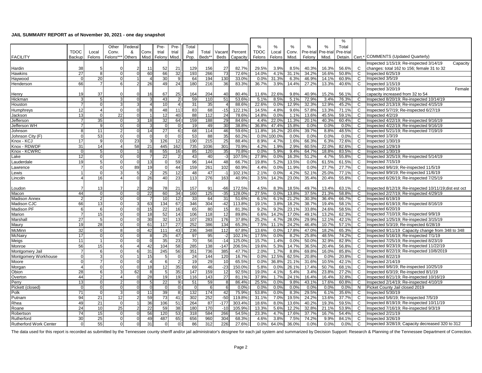#### **JAIL SUMMARY REPORT as of November 30, 2021 - one day snapshot**

| <b>JAIL JUMMART REFURT AS UFNUVERING JU, 2021 - UIG UAY SHAPSHUL</b> |                 |                 |                |                |                |                 |                  |          |                 |                 |          |               |        |       |          |               |           |             |                                                        |  |  |
|----------------------------------------------------------------------|-----------------|-----------------|----------------|----------------|----------------|-----------------|------------------|----------|-----------------|-----------------|----------|---------------|--------|-------|----------|---------------|-----------|-------------|--------------------------------------------------------|--|--|
|                                                                      |                 |                 |                |                |                |                 |                  |          |                 |                 |          |               |        |       |          |               | %         |             |                                                        |  |  |
|                                                                      |                 |                 | Other          | Federal        |                | Pre-            | Pre-             | Total    |                 |                 |          | $\frac{0}{0}$ | %      | %     | %        | $\frac{0}{0}$ | Total     |             |                                                        |  |  |
|                                                                      | <b>TDOC</b>     | Local           | Conv.          | &              | Conv.          | trial           | trial            | Jail     | Total           | Vacant          | Percent  | <b>TDOC</b>   | Local  | Conv. | Pre-tria | Pre-trial     | Pre-trial |             |                                                        |  |  |
| <b>FACILITY</b>                                                      | Backup          | Felons          | Felons**       | Others         | Misd.          | Felony          | Misd.            | Pop.     | Beds*           | Beds            | Capacity | Felons        | Felons | Misd. | Felony   | Misd.         | Detain.   |             | Cert.* COMMENTS (Updated Quarterly)                    |  |  |
|                                                                      |                 |                 |                |                |                |                 |                  |          |                 |                 |          |               |        |       |          |               |           |             | Inspected 1/15/19; Re-inspected 3/14/19<br>Capacity    |  |  |
| Hardin                                                               | 38              | 5               |                |                | 11             | 52              | 21               | 129      | 156             | 27              | 82.7%    | 29.5%         | 3.9%   | 8.5%  | 40.3%    | 16.3%         | 56.6%     | C           | changes: total 162 to 156; female 31 to 32             |  |  |
| Hawkins                                                              | 27              | 8               | $\Omega$       | $\Omega$       | 60             | 66              | 32               | 193      | 266             | 73              | 72.6%    | 14.0%         | 4.1%   | 31.1% | 34.2%    | 16.6%         | 50.8%     | C           | Inspected 6/25/19                                      |  |  |
| Haywood                                                              | $\overline{0}$  | 20              | 0              | $\overline{1}$ | $\overline{4}$ | 30              | 9                | 64       | 194             | 130             | 33.0%    | 0.0%          | 31.3%  | 6.3%  | 46.9%    | 14.1%         | 60.9%     | С           | Inspected 3/5/19                                       |  |  |
| Henderson                                                            | 66              | $\overline{7}$  | 6 <sup>1</sup> | $\overline{2}$ | 26             | 49              | 24               | 180      | 216             | 36              | 83.3%    | 36.7%         | 3.9%   | 14.4% | 27.2%    | 13.3%         | 40.6%     | C           | Inspected 1/15/19                                      |  |  |
|                                                                      |                 |                 |                |                |                |                 |                  |          |                 |                 |          |               |        |       |          |               |           |             | Inspected 3/20/19<br>Female                            |  |  |
| Henry                                                                | 19              | 37              |                | $\Omega$       | 16             | 67              | 25               | 164      | 204             | 40              | 80.4%    | 11.6%         | 22.6%  | 9.8%  | 40.9%    | 15.2%         | 56.1%     | C           | capacity increased from 32 to 54                       |  |  |
| <b>Hickman</b>                                                       | 3               | 5               | $\overline{3}$ | $\mathbf 0$    | 3              | 43              | $\overline{2}$   | 59       | 110             | 51              | 53.6%    | 5.1%          | 8.5%   | 5.1%  | 72.9%    | 3.4%          | 76.3%     | $\mathbf C$ | Inspected 8/20/19: Re-inspected 10/14/19               |  |  |
| Houston                                                              | $\overline{7}$  | $\mathbf 0$     | 3              | 3              | $\overline{4}$ | 10              | $\overline{4}$   | 31       | 35              | $\overline{4}$  | 88.6%    | 22.6%         | 0.0%   | 12.9% | 32.3%    | 12.9%         | 45.2%     | C           | Inspected 2/13/19; Re-inspected 4/15/19                |  |  |
|                                                                      |                 |                 | $\Omega$       | $\Omega$       | 8              | 48              | 11               | 83       |                 |                 |          |               | 4.8%   |       |          |               |           | C           |                                                        |  |  |
| <b>Humphreys</b>                                                     | 12              | $\overline{4}$  |                |                |                |                 |                  |          | 68              | $-15$           | 122.1%   | 14.5%         |        | 9.6%  | 57.8%    | 13.3%         | 71.1%     |             | Inspected 5/7/19; Re-inspected 6/27/19                 |  |  |
| Jackson                                                              | 13              | $\Omega$        | 22             | $\Omega$       |                | 12              | 40               | 88       | 112             | $\overline{24}$ | 78.6%    | 14.8%         | 0.0%   | 1.1%  | 13.69    | 45.5%         | 59.1%     | C           | Inspected 4/2/19                                       |  |  |
| Jefferson                                                            | $\overline{7}$  | 35              | $\Omega$       | 3              | 18             | 32              | 64               | 159      | 188             | 29              | 84.6%    | 4.4%          | 22.0%  | 11.3% | 20.1%    | 40.3%         | 60.4%     | C           | Inspected 4/22/19; Re-inspected 9/16/19                |  |  |
| Jefferson WH                                                         | $\overline{7}$  | 9               | $\Omega$       | $\Omega$       | 3              | $\mathbf{0}$    | $\overline{0}$   | 19       | 49              | 30              | 38.8%    | 36.8%         | 47.4%  | 15.8% | 0.0%     | 0.0%          | 0.0%      | C           | Inspected 4/22/19; Re-inspected 9/16/19                |  |  |
| Johnson                                                              | 8               | 11              | 2              | $\Omega$       | 14             | $\overline{27}$ | 6                | 68       | 114             | 46              | 59.6%    | 11.8%         | 16.2%  | 20.6% | 39.7%    | 8.8%          | 48.5%     | C           | Inspected 5/21/19; Re-inspected 7/19/19                |  |  |
| Johnson City (F)                                                     | $\Omega$        | 53              | $\Omega$       | $\Omega$       |                | $\Omega$        | $\Omega$         | 53       | 88              | 35              | 60.2%    | 0.0%          | 100.0% | 0.0%  | 0.0%     | 0.0%          | 0.0%      | C           | Inspected 1/3/19                                       |  |  |
| Knox - KCJ                                                           | 17              | 9               | $\overline{0}$ | 23             | 3              | 126             | 12               | 190      | 215             | 25              | 88.4%    | 8.9%          | 4.7%   | 1.6%  | 66.3%    | 6.3%          | 72.6%     | C           | Inspected 1/30/19                                      |  |  |
| Knox - RDWDF                                                         | 31              | 14              | 4              | 58             | 21             | 445             | $\overline{162}$ | 735      | 1036            | 301             | 70.9%    | 4.2%          | 1.9%   | 2.9%  | 60.5%    | 22.0%         | 82.6%     | C           | Inspected 1/29/19                                      |  |  |
| Knox - KCWRC                                                         | $\Omega$        | -5              | $\Omega$       |                | 8              | 55              | 16               | 85       | 120             | 35              | 70.8%    | 0.0%          | 5.9%   | 9.4%  | 64.7%    | 18.8%         | 83.5%     | C           | Inspected 1/30/19                                      |  |  |
| Lake                                                                 | 12              | 0               | $\overline{0}$ | $\Omega$       | -7             | 22              | $\overline{2}$   | 43       | 40              | -3              | 107.5%   | 27.9%         | 0.0%   | 16.3% | 51.2%    | 4.7%          | 55.8%     | C           | Inspected 3/25/19; Re-inspected 5/14/19                |  |  |
| Lauderdale                                                           | 19              | 5               | $\Omega$       | $\Omega$       | 13             | $\Omega$        | 59               | 96       | 144             | 48              | 66.7%    | 19.8%         | 5.2%   | 13.5% | 0.0%     | 61.5%         | 61.5%     | C           | Inspected 7/15/19                                      |  |  |
| Lawrence                                                             | $\overline{7}$  | $\Omega$        | $\Omega$       | 89             | 19             | $\mathbf 0$     | 44               | 159      | 261             | 102             | 60.9%    | 4.4%          | 0.0%   | 11.9% | 0.0%     | 27.7%         | 27.7%     | C           | Inspected 9/6/19; Re-inspected 11/5/19                 |  |  |
| Lewis                                                                | $\overline{1}$  | $\mathbf 0$     | 3              | 5              | $\mathcal{P}$  | 25              | 12               | 48       | 47              | $-1$            | 102.1%   | 2.1%          | 0.0%   | 4.2%  | 52.1%    | 25.0%         | 77.1%     | C           | Inspected 9/9/19; Re-inspected 11/6/19                 |  |  |
| Lincoln                                                              | $\overline{4}$  | 16              | 4              | $\Omega$       | 26             | 40              | 23               | 113      | 276             | 163             | 40.9%    | 3.5%          | 14.2%  | 23.0% | 35.4%    | 20.4%         | 55.8%     | C           | Inspected 6/26/19; Re-inspected 7/25/19                |  |  |
|                                                                      |                 |                 |                |                |                |                 |                  |          |                 |                 |          |               |        |       |          |               |           |             |                                                        |  |  |
| Loudon                                                               |                 | 13              |                | -2             | 29             | 78              | 21               | 157      | 91              | $-66$           | 172.5%   | 4.5%          | 8.3%   | 18.5% | 49.7%    | 13.4%         | 63.1%     | C           | Inspected 8/12/19; Re-inspected 10/11/19; dist est oct |  |  |
| Macon                                                                | 44              | $\Omega$        | $\Omega$       | $\Omega$       | 22             | 60              | 34               | 160      | 125             | $-35$           | 128.0%   | 27.5%         | 0.0%   | 13.8% | 37.5%    | 21.3%         | 58.8%     | C           | Inspected 2/27/19; Re-inspected 4/29/19                |  |  |
| <b>Madison Annex</b>                                                 |                 | $\overline{2}$  | $\Omega$       | $\Omega$       | 7              | 10              | 12               | 33       | 64              | 31              | 51.6%    | 6.1%          | 6.1%   | 21.2% | 30.3%    | 36.4%         | 66.7%     | C           | Inspected 6/19/19                                      |  |  |
| Madison CJC                                                          | 66              | 13              | $\overline{0}$ | 3              | 63             | 134             | 67               | 346      | 304             | $-42$           | 113.8%   | 19.1%         | 3.8%   | 18.2% | 38.7%    | 19.4%         | 58.1%     | C           | Inspected 6/19/19; Re-inspected 8/16/19                |  |  |
| Madison PF                                                           | 6               | 6               | $\overline{0}$ | $\Omega$       | 15             | 22              | 16               | 65       | 80              | 15              | 81.3%    | 9.2%          | 9.2%   | 23.1% | 33.89    | 24.6%         | 58.5%     | C           | Inspected 6/20/19                                      |  |  |
| Marion                                                               | $\overline{7}$  | 15              | $\Omega$       | $\Omega$       | 18             | 52              | 14               | 106      | 118             | 12              | 89.8%    | 6.6%          | 14.2%  | 17.0% | 49.1%    | 13.2%         | 62.3%     | C           | Inspected 7/10/19; Re-inspected 9/9/19                 |  |  |
| Marshall                                                             | 27              | 5               | $\overline{0}$ | $\mathbf 0$    | 30             | 32              | 13               | 107      | 283             | 176             | 37.8%    | 25.2%         | 4.7%   | 28.0% | 29.9%    | 12.1%         | 42.1%     | C           | Inspected 1/25/19; Re-inspected 3/15/19                |  |  |
| Maury                                                                | 19              | 28              | $\overline{0}$ | $\Omega$       | 61             | 117             | $\overline{27}$  | 252      | 386             | 134             | 65.3%    | 7.5%          | 11.1%  | 24.2% | 46.4%    | 10.7%         | 57.1%     | C           | Inspected 5/3/19; Re-inspected 6/28/19                 |  |  |
| McMinn                                                               | 32              | $\mathbf 0$     | 8              | $\Omega$       | 42             | 111             | 43               | 236      | 348             | 112             | 67.8%    | 13.6%         | 0.0%   | 17.8% | 47.0%    | 18.2%         | 65.3%     | C           | Inspected 9/11/19 Capacity change from 348 to 348      |  |  |
| McNairy                                                              | $\overline{17}$ | $\Omega$        | o١             | $\Omega$       | 8              | $\overline{25}$ | 47               | 97       | 95              | $-2$            | 102.1%   | 17.5%         | 0.0%   | 8.2%  | 25.8%    | 48.5%         | 74.2%     | C           | Inspected 5/16/19; Re-inspected 7/1/19                 |  |  |
|                                                                      | 11              | $\overline{1}$  | $\overline{0}$ | $\Omega$       | $\Omega$       | 35              | 23               | 70       | 56              | $-14$           | 125.0%   | 15.7%         | 1.4%   | 0.0%  | 50.0%    | 32.9%         | 82.9%     | C           | Inspected 7/25/19; Re-inspected 8/23/19                |  |  |
| Meigs                                                                | 56              | 15              | 6              | $\overline{4}$ | 42             | 104             | 58               | 285      | 138             | $-147$          | 206.5%   | 19.6%         | 5.3%   | 14.7% | 36.5%    | 20.4%         | 56.8%     | C           | Inspected 9/23/19; Re-inspected 11/22/19               |  |  |
| Monroe                                                               |                 | 6               | $\Omega$       | 6              | 31             | 245             | 56               | 351      | 736             | 385             | 47.7%    | 2.0%          | 1.7%   |       |          | 16.0%         |           | C           |                                                        |  |  |
| Montgomery Jail                                                      |                 |                 |                |                |                |                 |                  |          |                 |                 |          |               |        | 8.8%  | 69.8%    |               | 85.8%     |             | Inspected 8/22/19; Re-inspected 10/8/2019              |  |  |
| Montgomery Workhouse                                                 | $\mathbf{0}$    | 3               | $\Omega$       | $\overline{1}$ | 15             | 5               | $\mathbf 0$      | 24       | 144             | 120             | 16.7%    | 0.0%          | 12.5%  | 62.5% | 20.8%    | 0.0%          | 20.8%     | C           | Inspected 8/22/19                                      |  |  |
| Moore                                                                | $\Omega$        | $\overline{7}$  | $\Omega$       | $\Omega$       | $\overline{4}$ | 6               | $\overline{2}$   | 19       | 29              | 10              | 65.5%    | 0.0%          | 36.8%  | 21.1% | 31.6%    | 10.5%         | 42.1%     | C           | Inspected 2/14/19                                      |  |  |
| Morgan                                                               | $\overline{4}$  | $\Omega$        | $\Omega$       | $\mathbf 0$    | 18             | 12              | 35               | 69       | 46              | $-23$           | 150.0%   | 5.8%          | 0.0%   | 26.1% | 17.4%    | 50.7%         | 68.1%     | C           | Inspected 9/6/19; Re-inspected 10/25/19                |  |  |
| Obion                                                                | 28              | 6               | 3              | 62             | 8              | 5               | 35               | 147      | 159             | 12              | 92.5%    | 19.0%         | 4.1%   | 5.4%  | 3.4%     | 23.8%         | 27.2%     | С           | Inspected 6/3/19; Re-inspected 8/1/19                  |  |  |
| Overton                                                              | 44              | $\overline{2}$  | 4              | $\Omega$       | 28             | 19              | 19               | 116      | 143             | 27              | 81.1%    | 37.9%         | 1.7%   | 24.1% | 16.4%    | 16.4%         | 32.8%     | C           | Inspected 8/21/19; Re-inspected 10/16/19               |  |  |
| Perry                                                                | 13              | $\Omega$        | $\overline{2}$ | $\Omega$       | 5              | 22              | 9                | 51       | 59              | 8               | 86.4%    | 25.5%         | 0.0%   | 9.8%  | 43.1%    | 17.6%         | 60.8%     | C           | Inspected 2/14/19; Re-inspected 4/10/19                |  |  |
| Pickett (closed)                                                     | $\overline{0}$  | $\mathbf 0$     | $\overline{0}$ | $\Omega$       | $\Omega$       | $\overline{0}$  | $\mathbf 0$      | $\Omega$ | 6               | 6               | 0.0%     | 0.0%          | 0.0%   | 0.0%  | 0.0%     | 0.0%          | 0.0%      | N           | Picket County Jail closed 2019                         |  |  |
| Polk                                                                 | 71              | $\Omega$        | 3              | $\Omega$       | 11             | 39              | 8                | 132      | 174             | 42              | 75.9%    | 53.8%         | 0.0%   | 8.3%  | 29.5%    | 6.1%          | 35.6%     | C           | Inspected 5/30/19                                      |  |  |
| Putnam                                                               | 94              | $\overline{21}$ | 12             |                | 59             | 73              | 41               | 302      | 252             | $-50$           | 119.8%   | 31.1%         | 7.0%   | 19.5% | 24.2%    | 13.6%         | 37.7%     | C           | Inspected 5/6/19; Re-inspected 7/5/19                  |  |  |
| Rhea                                                                 | 49              | $\overline{21}$ | $\Omega$       | $\overline{1}$ | 36             | 106             | 51               | 264      | $\overline{87}$ | $-177$          | 303.4%   | 18.6%         | 8.0%   | 13.6% | 40.2%    | 19.3%         | 59.5%     | C           | Inspected 8/19/19; Re-inspected 10/11/19               |  |  |
| Roane                                                                | 24              | 10              | 25             | $\overline{2}$ | 22             | 59              | 38               | 180      | 170             | $-10$           | 105.9%   | 13.3%         | 5.6%   | 12.2% | 32.8%    | 21.1%         | 53.9%     | C           | Inspected 7/16/19; Re-inspected 9/3/19                 |  |  |
| Robertson                                                            | 74              | 15              | $\Omega$       | $\Omega$       | 56             | 120             | 53               | 318      | 584             | 266             | 54.5%    | 23.3%         | 4.7%   | 17.6% | 37.7%    | 16.7%         | 54.4%     | C           | Inspected 2/21/19                                      |  |  |
| Rutherford                                                           | 30              | 25              | $\overline{0}$ | $\Omega$       | 49             | 487             | 65               | 656      | 960             | 304             | 68.3%    | 4.6%          | 3.8%   | 7.5%  | 74.2%    | 9.9%          | 84.1%     | C           | Inspected 3/26/19                                      |  |  |
| <b>Rutherford Work Center</b>                                        | $\overline{0}$  | 55              | $\overline{0}$ | $\Omega$       | 31             | $\Omega$        | $\Omega$         | 86       | 312             | 226             | 27.6%    | 0.0%          | 64.0%  | 36.0% | 0.0%     | 0.0%          | 0.0%      | C           | Inspected 3/28/19; Capacity decreased 320 to 312       |  |  |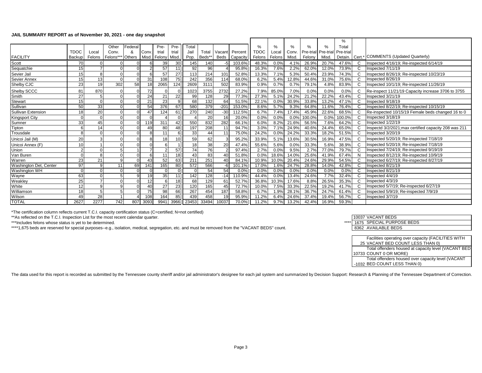#### **JAIL SUMMARY REPORT as of November 30, 2021 - one day snapshot**

|                        |                |              |                |          |       |                 |                 |       |       |        |          |             |               |       |        |                     | %         |              |                                                       |
|------------------------|----------------|--------------|----------------|----------|-------|-----------------|-----------------|-------|-------|--------|----------|-------------|---------------|-------|--------|---------------------|-----------|--------------|-------------------------------------------------------|
|                        |                |              | Other          | Federal  |       | Pre-            | Pre-            | Total |       |        |          | %           | $\frac{0}{0}$ | %     | %      | %                   | Total     |              |                                                       |
|                        | <b>TDOC</b>    | Local        | Conv.          |          | Conv  | trial           | trial           | Jail  | Total | Vacant | Percent  | <b>TDOC</b> | Local         | Conv. |        | Pre-trial Pre-trial | Pre-trial |              |                                                       |
| <b>FACILITY</b>        | Backup         | Felons I     | Felons**       | ' Others | Misd. | Felony          | Misd.           | Pop.  | Beds* | Beds   | Capacity | Felons      | Felons        | Misd. | Felonv | Misd.               | Detain.   |              | Cert.* COMMENTS (Updated Quarterly)                   |
| Scott                  | 70             |              |                |          |       | 39              | 30 <sup>1</sup> | 145   | 140   |        | 103.6%   | 48.3%       | 0.0%          | 4.1%  | 26.9%  | 20.7%               | 47.6%     | C            | Inspected 4/16/19; Re-inspected 6/14/19               |
| Sequatchie             | 15             | 7            | $\Omega$       | $\Omega$ |       | 57              | 11              | 92    | 96    |        | 95.8%    | 16.3%       | 7.6%          | 2.2%  | 62.0%  | 12.0%               | 73.9%     | C            | Inspected 7/11/19                                     |
| Sevier Jail            | 15             | 8            | $\Omega$       |          |       | 57              | 27              | 113   | 214   | 101    | 52.8%    | 13.3%       | 7.1%          | 5.3%  | 50.4%  | 23.9%               | 74.3%     | C            | Inspected 8/26/19; Re-inspected 10/23/19              |
| Sevier Annex           | 15             | 13           | $\Omega$       | $\Omega$ | 31    | 108             | $\overline{75}$ | 242   | 356   | 114    | 68.0%    | 6.2%        | 5.4%          | 12.8% | 44.6%  | 31.0%               | 75.6%     | C            | Inspected 8/26/19                                     |
| Shelby CJC             | 23             | 19           | 302            | 58       | 18    | 2065            | 124             | 2609  | 3111  | 502    | 83.9%    | 0.9%        | 0.7%          | 0.7%  | 79.1%  | 4.8%                | 83.9%     | C            | Inspected 10/1/19; Re-inspected 11/26/19              |
| Shelby SCCC            | 81             | 870          |                |          | 72    |                 | $\overline{0}$  | 1023  | 3755  | 2732   | 27.2%    | 7.9%        | 85.0%         | 7.0%  | 0.0%   | 0.0%                | 0.0%      | C            | Re-inspect 11/21/19 Capacity increase 3706 to 3755    |
| Smith                  | 27             | 5            |                |          | 24    | 21              | 22              | 99    | 128   | 29     | 77.3%    | 27.3%       | 5.1%          | 24.2% | 21.2%  | 22.2%               | 43.4%     | C            | Inspected 3/21/19                                     |
| Stewart                | 15             | $\sqrt{2}$   | $\Omega$       | $\Omega$ | 21    | 23              | 9 <sup>1</sup>  | 68    | 132   | 64     | 51.5%    | 22.1%       | 0.0%          | 30.9% | 33.8%  | 13.2%               | 47.1%     | C            | Inspected 9/18/19                                     |
| Sullivan               | 50             | 33           | $\Omega$       | $\cap$   | 54    | 376             | 67              | 580   | 379   | $-201$ | 153.0%   | 8.6%        | 5.7%          | 9.3%  | 64.8%  | 11.6%               | 76.4%     | C            | Inspected 8/22/19; Re-inspected 10/15/19              |
| Sullivan Extension     | 18             | 20           |                |          | 47    | 124             | 61              | 270   | 240   | $-30$  | 112.5%   | 6.7%        | 7.4%          | 17.4% | 45.9%  | 22.6%               | 68.5%     | C            | Re-inspected 10/15/19 Female beds changed 16 to 0     |
| <b>Kingsport City</b>  | $\Omega$       | $\mathsf{C}$ | $\Omega$       | $\Omega$ |       |                 | $\Omega$        |       | 20    | 16     | 20.0%    | 0.0%        | 0.0%          | 0.0%  | 100.0% | 0.0%                | 100.0%    | C            | Inspected 3/18/19                                     |
| Sumner                 | 33             | 45           |                | $\Omega$ | 119   | 311             | 42              | 550   | 832   | 282    | 66.1%    | 6.0%        | 8.2%          | 21.6% | 56.5%  | 7.6%                | 64.2%     | C            | Inspected 1/22/19                                     |
| Tipton                 | 6              | 14           |                |          | 49    | 80              | 48              | 197   | 208   |        | 94.7%    | 3.0%        | 7.1%          | 24.9% | 40.6%  | 24.4%               | 65.0%     | C            | Inspectd 3/2/2021; max certified capacity 208 was 211 |
| Trousdale              | 8              |              |                | $\Omega$ |       | 11              | 6               | 33    | 44    | 11     | 75.0%    | 24.2%       | 0.0%          | 24.2% | 33.3%  | 18.2%               | 51.5%     | C            | Inspected 3/20/19                                     |
| Unicoi Jail (M)        | 20             |              |                |          |       | 18              | 10 <sup>1</sup> | 59    | 62    |        | 95.2%    | 33.9%       | 5.1%          | 13.6% | 30.5%  | 16.9%               | 47.5%     | C            | Inspected 5/20/19; Re-inspected 7/18/19               |
| Unicoi Annex (F)       | 10             |              |                |          |       | 6               |                 | 18    | 38    | 20     | 47.4%    | 55.6%       | 5.6%          | 0.0%  | 33.3%  | 5.6%                | 38.9%     | $\mathsf{C}$ | Inspected 5/20/19; Re-inspected 7/18/19               |
| Union                  | $\overline{2}$ |              | 5              |          |       | 2               | 57              | 74    | 76    |        | 97.4%    | 2.7%        | 0.0%          | 9.5%  | 2.7%   | 77.0%               | 79.7%     | C            | Inspected 7/24/19; Re-inspected 9/19/19               |
| Van Buren              | $\Omega$       | 8            | $\Omega$       | $\Omega$ |       | 11              | $\overline{18}$ | 43    | 83    | 40     | 51.8%    | 0.0%        | 18.6%         | 14.0% | 25.6%  | 41.9%               | 67.4%     | N            | Inspected 8/12/19; Re-inspected 10/9/19               |
| Warren                 | 23             | 21           | 9              | $\Omega$ | 43    | 52              | 63              | 21'   | 251   | 40     | 84.1%    | 10.9%       | 10.0%         | 20.4% | 24.6%  | 29.9%               | 54.5%     | C            | Inspected 6/27/19; Re-inspected 8/27/19               |
| Washington Det, Center | 97             | <sub>9</sub> | 11             | 69       | 141   | 165             | 80              | 572   | 566   | $-6$   | 101.1%   | 17.0%       | 1.6%          | 24.7% | 28.8%  | 14.0%               | 42.8%     | C            | Inspected 8/21/19                                     |
| Washington WH          | $\Omega$       |              |                | $\Omega$ |       | $\Omega$        | $\overline{0}$  |       | 54    | 54     | 0.0%     | 0.0%        | 0.0%          | 0.0%  | 0.0%   | 0.0%                | 0.0%      | C            | Inspected 8/21/19                                     |
| Wayne                  | 63             |              | 5              | q        | 19    | 35              | 11              | 142   | 128   | $-14$  | 10.9%    | 44.4%       | 0.0%          | 13.4% | 24.6%  | 7.7%                | 32.4%     | C            | Inspected 4/4/19                                      |
| Weakley                | 25             |              |                |          | 12    | 6               | 18              | 68    | 129   | 61     | 52.7%    | 36.8%       | 10.3%         | 17.6% | 8.8%   | 26.5%               | 35.3%     | C            | Inspected 4/3/19                                      |
| White                  | 12             | <sub>9</sub> | 9              |          | 40    | $\overline{27}$ | 23              | 120   | 165   | 45     | 72.7%    | 10.0%       | 7.5%          | 33.3% | 22.5%  | 19.2%               | 41.7%     | C            | Inspected 5/7/19: Re-inspected 6/27/19                |
| Williamson             | 18             | 5            | 5 <sup>1</sup> |          | 75    | 98              | 66              | 267   | 454   | 187    | 58.8%    | 6.7%        | 1.9%          | 28.1% | 36.7%  | 24.7%               | 61.4%     | C            | Inspected 5/9/19; Re-inspected 7/9/19                 |
| Wilson                 | 49             | 28           |                |          | 108   | 164             | 85              | 439   | 458   | 19     | 95.9%    | 11.2%       | 6.4%          | 24.6% | 37.4%  | 19.4%               | 56.7%     | C            | Inspected 3/7/19                                      |
| <b>TOTAL</b>           | 2627           | 2277         | 742            | 807      | 3093  | 9941            | 3966            | 23453 | 33494 | 10037  | 70.0%    | 11.2%       | 9.7%          | 13.2% | 42.4%  | 16.9%               | 59.3%     |              |                                                       |

\*The certification column reflects current T.C.I. capacity certification status (C=certified; N=not certified)

\*\*As reflected on the T.C.I. Inspection List for the most recent calendar quarter.<br>\*\*\*Includes felons whose status is yet to be determined.

\*\*\*Includes felons whose status is yet to be determined.  $\blacksquare$   $\blacksquare$   $\blacksquare$   $\blacksquare$   $\blacksquare$   $\blacksquare$   $\blacksquare$   $\blacksquare$   $\blacksquare$   $\blacksquare$   $\blacksquare$   $\blacksquare$   $\blacksquare$   $\blacksquare$   $\blacksquare$   $\blacksquare$   $\blacksquare$   $\blacksquare$   $\blacksquare$   $\blacksquare$   $\blacksquare$   $\blacksquare$   $\blacksquare$   $\blacks$ 

\*\*\*\*1,675 beds are reserved for special purposes--e.g., isolation, medical, segregation, etc. and must be removed from the "VACANT BEDS" count. 8362 AVAILABLE BEDS AVAILABLE BEDS

|  | 10037 VACANT BEDS         |
|--|---------------------------|
|  | 1675 SPECIAL PURPOSE BEDS |
|  | 8362 AVAILABLE BEDS       |
|  |                           |

| Facilities operating over capacity (FACILITIES WITH  |
|------------------------------------------------------|
| 25 VACANT BED COUNT LESS THAN 0)                     |
| Total offenders housed at capacity level (VACANT BED |
| 10733 COUNT 0 OR MORE)                               |
| Total offenders housed over capacity level (VACANT   |
| -1032 BED COUNT LESS THAN 0)                         |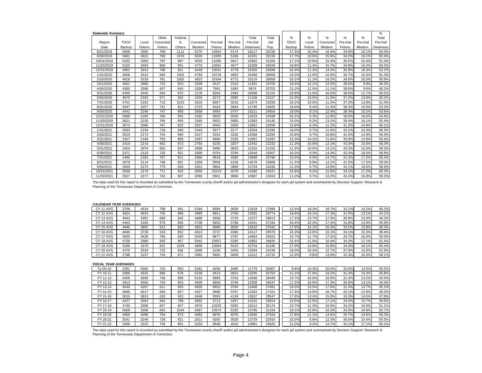| <b>Statewide Summarv</b> |             |        |           |         |           |           |               |           |       |             |        |           |               |               | %         |
|--------------------------|-------------|--------|-----------|---------|-----------|-----------|---------------|-----------|-------|-------------|--------|-----------|---------------|---------------|-----------|
|                          |             |        | Other     | Federal |           |           |               | Total     | Total | $\%$        | %      | $\%$      | $\frac{9}{6}$ | $\frac{0}{2}$ | Total     |
| Report                   | <b>TDOC</b> | Local  | Convicted | 8       | Convicted | Pre-trial | Pre-trial     | Pre-trial | Jail  | <b>TDOC</b> | Local  | Convicted | Pre-trial     | Pre-trial     | Pre-trial |
| Date                     | Backup      | Felons | Felons    | Others  | Misdem    | Felons    | <b>Misdem</b> | Detainees | Pop.  | Backup      | Felons | Misdem.   | Felons        | Misdem.       | Detainees |
| 8/31/2019                | 5568        | 3365   | 799       | 1112    | 5275      | 10943     | 5174          | 16117     | 32236 | 17.3%       | 10.4%  | 16.4%     | 33.9%         | 16.1%         | 50.0%     |
| 9/30/2019                | 5681        | 3421   | 760       | 1076    | 5026      | 11005     | 5186          | 16191     | 32155 | 17.7%       | 10.6%  | 15.6%     | 34.2%         | 16.1%         | 50.4%     |
| 10/31/2019               | 5332        | 3360   | 797       | 997     | 4816      | 11085     | 4817          | 15902     | 31204 | 17.1%       | 10.8%  | 15.4%     | 35.5%         | 15.4%         | 51.0%     |
| 11/30/2019               | 5102        | 3455   | 800       | 951     | 4773      | 10591     | 4677          | 15268     | 30349 | 16.8%       | 11.4%  | 15.7%     | 34.9%         | 15.4%         | 50.3%     |
| 12/31/2019               | 4801        | 3313   | 786       | 921     | 4248      | 10541     | 4779          | 15320     | 29389 | 16.3%       | 11.3%  | 14.5%     | 35.9%         | 16.3%         | 52.1%     |
| 1/31/2020                | 4658        | 3312   | 845       | 1001    | 4784      | 10726     | 4682          | 15408     | 30008 | 15.5%       | 11.0%  | 15.9%     | 35.7%         | 15.6%         | 51.3%     |
| 2/20/2020                | 4818        | 3318   | 781       | 1002    | 4823      | 10344     | 4772          | 15116     | 29858 | 16.1%       | 11.1%  | 16.2%     | 34.6%         | 16.0%         | 50.6%     |
| 3/31/2020                | 4601        | 2869   | 722       | 853     | 3199      | 9147      | 2314          | 11461     | 23705 | 19.4%       | 12.1%  | 13.5%     | 38.6%         | 9.8%          | 48.3%     |
| 4/30/2020                | 4385        | 2596   | 607       | 840     | 2300      | 7991      | 1983          | 9974      | 20702 | 21.2%       | 12.5%  | 11.1%     | 38.6%         | 9.6%          | 48.2%     |
| 5/31/2020                | 4455        | 2445   | 664       | 875     | 2178      | 8204      | 2494          | 10698     | 21315 | 20.9%       | 11.5%  | 10.2%     | 38.5%         | 11.7%         | 50.2%     |
| 6/30/2020                | 4670        | 2342   | 671       | 942     | 2434      | 8273      | 2895          | 11168     | 22227 | 21.0%       | 10.5%  | 11.0%     | 37.2%         | 13.0%         | 50.2%     |
| 7/31/2020                | 4701        | 2332   | 713       | 1015    | 2625      | 8657      | 3216          | 11873     | 23259 | 20.2%       | 10.0%  | 11.3%     | 37.2%         | 13.8%         | 51.0%     |
| 8/31/2020                | 4547        | 2257   | 731       | 921     | 2723      | 9162      | 3584          | 12746     | 23925 | 19.0%       | 9.4%   | 11.4%     | 38.3%         | 15.0%         | 53.3%     |
| 9/30/2020                | 4442        | 2246   | 747       | 950     | 3058      | 9464      | 3747          | 13211     | 24654 | 18.0%       | 9.1%   | 12.4%     | 38.4%         | 15.2%         | 53.6%     |
| 10/31/2020               | 3966        | 2294   | 766       | 955     | 3185      | 9503      | 3930          | 13433     | 24599 | 16.1%       | 9.3%   | 12.9%     | 38.6%         | 16.0%         | 54.6%     |
| 11/30/2020               | 3621        | 2230   | 766       | 955     | 3185      | 9503      | 3880          | 13383     | 24140 | 15.0%       | 9.2%   | 13.2%     | 39.4%         | 16.1%         | 55.4%     |
| 12/31/2020               | 3572        | 2096   | 767       | 922     | 2537      | 9303      | 3359          | 12662     | 22556 | 15.8%       | 9.3%   | 11.2%     | 41.2%         | 14.9%         | 56.1%     |
| 1/31/2021                | 3563        | 2159   | 726       | 840     | 2443      | 9377      | 3177          | 12554     | 22285 | 16.0%       | 9.7%   | 11.0%     | 42.1%         | 14.3%         | 56.3%     |
| 2/28/2021                | 3523        | 2172   | 754       | 860     | 2417      | 9242      | 3326          | 12568     | 22294 | 15.8%       | 9.7%   | 10.8%     | 41.5%         | 14.9%         | 56.4%     |
| 3/31/2021                | 3307        | 2190   | 703       | 899     | 2497      | 8806      | 3195          | 12001     | 21597 | 15.3%       | 10.1%  | 11.6%     | 40.8%         | 14.8%         | 55.6%     |
| 4/30/2021                | 2419        | 2143   | 662       | 873     | 2793      | 9235      | 3207          | 12442     | 21332 | 11.3%       | 10.0%  | 13.1%     | 43.3%         | 15.0%         | 58.3%     |
| 5/31/2021                | 2454        | 2074   | 662       | 937     | 2966      | 9495      | 3825          | 12310     | 21332 | 11.3%       | 10.0%  | 13.1%     | 43.3%         | 15.0%         | 58.3%     |
| 6/30/2021                | 2371        | 2132   | 735       | 921     | 3300      | 9754      | 3794          | 13548     | 23007 | 10.3%       | 9.3%   | 14.3%     | 42.4%         | 16.5%         | 58.9%     |
| 7/31/2021                | 2495        | 2263   | 707       | 921     | 3496      | 9818      | 4080          | 13898     | 23780 | 10.5%       | 9.5%   | 14.7%     | 41.3%         | 17.2%         | 58.4%     |
| 8/31/2021                | 2678        | 2114   | 748       | 891     | 3359      | 9909      | 4169          | 14078     | 23868 | 11.2%       | 8.9%   | 14.1%     | 41.5%         | 17.5%         | 59.0%     |
| 9/30/2021                | 2659        | 2275   | 779       | 818     | 3161      | 9864      | 3880          | 13744     | 23436 | 11.3%       | 9.7%   | 13.5%     | 42.1%         | 16.6%         | 58.6%     |
| 10/31/2021               | 2569        | 2179   | 771       | 816     | 3056      | 10210     | 4070          | 14280     | 23671 | 10.9%       | 9.2%   | 12.9%     | 43.1%         | 17.2%         | 60.3%     |
| 11/30/2021               | 2627        | 2277   | 742       | 807     | 3093      | 9941      | 3966          | 13907     | 23453 | 11.2%       | 9.7%   | 13.2%     | 42.4%         | 16.9%         | 59.3%     |

The data used for this report is recorded as submitted by the Tennessee county sheriff and/or jail administrator's designee for each jail system and summarized by Decision Support: Research &<br>Planning of the Tennessee Depa

#### **CALENDAR YEAR AVERAGES**

| AVG<br>CY 11 | 3706 | 4518 | 798 | 941  | 5184 | 8590  | 3928 | 12518 | 27666 | $13.4\%$ | 16.3% | 18.7% | 31.1% | 14.2% | 45.2% |
|--------------|------|------|-----|------|------|-------|------|-------|-------|----------|-------|-------|-------|-------|-------|
| CY 12 AVG    | 4824 | 4634 | 755 | 886  | 4985 | 8911  | 3780 | 12691 | 28774 | 16.8%    | 16.1% | 17.3% | 31.0% | 13.1% | 44.1% |
| CY 13 AVG    | 4843 | 4391 | 669 | 845  | 4888 | 8658  | 3720 | 12377 | 28013 | 17.3%    | 15.7% | 17.4% | 30.9% | 13.3% | 44.2% |
| CY 14 AVG    | 4462 | 4160 | 578 | 805  | 4738 | 8652  | 3788 | 1244  | 27184 | 16.4%    | 15.3% | 17.4% | 31.8% | 13.9% | 45.8% |
| CY 15 AVG    | 4946 | 3891 | 612 | 882  | 4501 | 8990  | 3820 | 12810 | 27642 | 17.9%    | 14.1% | 16.3% | 32.5% | 13.8% | 46.3% |
| CY 16 AVG    | 4646 | 3728 | 619 | 852  | 4613 | 9737  | 4380 | 14117 | 28576 | 16.3%    | 13.0% | 16.1% | 34.1% | 15.3% | 49.4% |
| CY 17 AVG    | 4605 | 3426 | 766 | 820  | 5040 | 9877  | 4787 | 14664 | 29322 | 15.7%    | 11.7% | 17.2% | 33.7% | 16.3% | 50.0% |
| CY 18 AVG    | 4759 | 3380 | 835 | 957  | 5042 | 10567 | 5285 | 15852 | 30825 | 15.4%    | 11.0% | 16.4% | 34.3% | 17.1% | 51.4% |
| CY 19 AVG    | 5298 | 3378 | 822 | 1029 | 4956 | 10694 | 5010 | 15704 | 31186 | 17.0%    | 10.8% | 15.9% | 34.3% | 16.1% | 50.4% |
| CY 20 AVG    | 4370 | 2528 | 732 | 936  | 3086 | 9190  | 3405 | 12594 | 24246 | 18.0%    | 10.4% | 12.7% | 37.9% | 14.0% | 51.9% |
| CY 21 AVG    | 2788 | 2237 | 726 | 871  | 2962 | 9605  | 3699 | 13212 | 22732 | 12.3%    | 9.8%  | 13.0% | 42.3% | 16.3% | 58.1% |

#### **FISCAL YEAR AVERAGES**

| Fv 09-10 | 2281 | 5002 | 710 | 953  | 5181 | 8294  | 3485 | 11779 | 25907 | 8.8%  | 19.3% | 20.0% | 32.0% | 13.5% | 45.5% |
|----------|------|------|-----|------|------|-------|------|-------|-------|-------|-------|-------|-------|-------|-------|
| FY 10-11 | 2966 | 4542 | 886 | 978  | 5136 | 8413  | 3831 | 12245 | 26753 | 11.1% | 17.0% | 19.2% | 31.4% | 14.3% | 45.8% |
| FY 11-12 | 4456 | 4559 | 746 | 906  | 5134 | 8895  | 3753 | 12648 | 28448 | 15.7% | 16.0% | 18.0% | 31.3% | 13.2% | 44.5% |
| FY 12-13 | 4913 | 4560 | 733 | 853  | 4930 | 8809  | 3749 | 12558 | 28547 | 17.2% | 16.0% | 17.3% | 30.9% | 13.1% | 44.0% |
| FY 13-14 | 4546 | 4267 | 611 | 833  | 4826 | 8653  | 3754 | 12408 | 27491 | 16.5% | 15.5% | 17.6% | 31.5% | 13.7% | 45.1% |
| FY 14-15 | 4685 | 4017 | 584 | 827  | 4527 | 8696  | 3767 | 12462 | 27101 | 17.3% | 14.8% | 16.7% | 32.1% | 13.9% | 46.0% |
| FY 15-16 | 5015 | 3813 | 620 | 913  | 4548 | 9503  | 4134 | 13637 | 28547 | 17.6% | 13.4% | 15.9% | 33.3% | 14.5% | 47.8% |
| FY 16-17 | 4427 | 3564 | 664 | 798  | 4892 | 9713  | 4497 | 14210 | 28554 | 15.5% | 12.5% | 17.1% | 34.0% | 15.7% | 49.8% |
| FY 17-18 | 4745 | 3368 | 827 | 847  | 4976 | 10320 | 5092 | 15412 | 30174 | 15.7% | 11.2% | 16.5% | 34.2% | 16.9% | 51.1% |
| FY 18-19 | 5009 | 3398 | 842 | 1034 | 5087 | 10574 | 5220 | 15795 | 31164 | 16.1% | 10.9% | 16.3% | 33.9% | 16.8% | 50.7% |
| FY 19-20 | 4969 | 3096 | 754 | 973  | 4082 | 9970  | 4076 | 14046 | 27919 | 17.8% | 11.1% | 14.6% | 35.7% | 14.6% | 50.3% |
| FY 20-21 | 3541 | 2246 | 728 | 921  | 2811 | 9292  | 3520 | 12728 | 22915 | 15.5% | 9.8%  | 12.3% | 40.5% | 15.4% | 55.5% |
| FY 21-22 | 2606 | 2222 | 749 | 851  | 3233 | 9948  | 4033 | 13981 | 23642 | 11.0% | 9.4%  | 13.7% | 42.1% | 17.1% | 59.1% |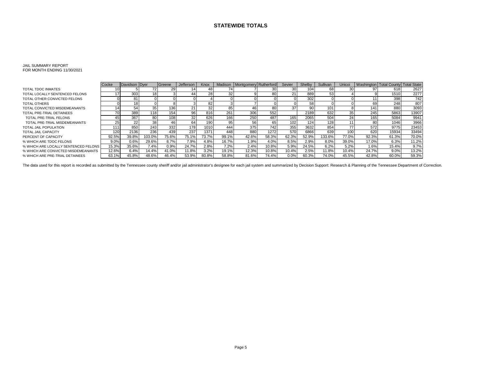#### **STATEWIDE TOTALS**

#### JAIL SUMMARY REPORT FOR MONTH ENDING 11/30/2021

|                                      | Cocke | Davidson   Dyer |        | Greene | Jefferson | Knox  | Madison | Montgomery Rutherford |       | Sevier | Shelby | Sullivan | Unicoi          | Washington Total Coun |       | <b>Total State</b> |
|--------------------------------------|-------|-----------------|--------|--------|-----------|-------|---------|-----------------------|-------|--------|--------|----------|-----------------|-----------------------|-------|--------------------|
| TOTAL TDOC INMATES                   |       |                 |        | 29     |           |       |         |                       |       | 30     |        | 68       | 30              |                       | 618   | 2627               |
| TOTAL LOCALLY SENTENCED FELONS       |       | 303             |        |        | 44        | 28    | 32      |                       |       | $2^.$  | 889    | 53       |                 |                       | 1510  | 2277               |
| TOTAL OTHER CONVICTED FELONS         |       | 81              |        |        |           |       |         |                       |       |        | 302    |          |                 |                       | 398   | 742                |
| <b>TOTAL OTHERS</b>                  |       |                 |        |        |           |       |         |                       |       |        | 58     |          |                 | 69                    | 248   | 807                |
| TOTAL CONVICTED MISDEMEANANTS        |       | 54              | 35     | 136    |           |       | 85      |                       |       | 37     |        | 101      |                 | 141                   | 880   | 3093               |
| TOTAL PRE-TRIAL DETAINEES            |       | 389             | 118    | 154    | 96        | 816   | 261     | 306                   | 552   |        | 2189   | 632      | 35              | 245                   | 5863  | 13907              |
| TOTAL PRE-TRIAL FELONS               |       | 367             | 80     | 108    | 32        | 626   | 166     | 250                   | 487   | 1651   | 2065   | 504      | 24 <sub>1</sub> | 165 <sub>1</sub>      | 5084  | 9941               |
| TOTAL PRE-TRIAL MISDEMEANANTS        | 25    | 22              | 38     | 46     | 64        | 190   | 95      | 56                    | 65    | 102    | 124.   | 128      |                 | 80                    | 1046  | 3966               |
| TOTAL JAIL POPULATION                | 111   | 850             | 243    | 332    | 178       | 1010  | 444     | 375                   | 742   | 355    | 3632   | 854      |                 | 572                   | 9775  | 23453              |
| TOTAL JAIL CAPACITY                  | 120   | 2136            | 236    | 439    | 237       | 1371  | 448     | 880                   | 1272  | 570    | 6866   | 639      | 100             | 620                   | 15934 | 33494              |
| PERCENT OF CAPACITY                  | 92.5% | 39.8%           | 103.0% | 75.6%  | 75.1%     | 73.7% | 99.1%   | 42.6%                 | 58.3% | 62.3%  | 52.9%  | 133.6%   | 77.0%           | 92.3%                 | 61.3% | 70.0%              |
| % WHICH ARE TDOC FELONS              | 9.0%  | 0.6%            | 29.6%  | 8.7%   | 7.9%      | 4.8%  | 16.7%   | 1.9%                  | 4.0%  | 8.5%   | 2.9%   | 8.0%     | 39.0%           | 17.0%                 | 6.3%  | 11.2%              |
| % WHICH ARE LOCALLY SENTENCED FELONS | 15.3% | 35.6%           | 7.4%   | 0.9%   | 24.7%     | 2.8%  | 7.2%    | 2.4%                  | 10.8% | 5.9%   | 24.5%  | 6.2%     | 5.2%            | 1.6%                  | 15.4% | 9.7%               |
| % WHICH ARE CONVICTED MISDEMEANANTS  | 12.6% | 6.4%            | 14.4%  | 41.0%  | 11.8%     | 3.2%  | 19.1%   | 12.3%                 | 10.8% | 10.4%  | 2.5%   | 11.8%    | 10.4%           | 24.7%                 | 9.0%  | 13.2%              |
| % WHICH ARE PRE-TRIAL DETAINEES      | 63.1% | 45.8%           | 48.6%  | 46.4%  | 53.9%     | 80.8% | 58.8%   | 81.6%                 | 74.4% | 0.0%   | 60.3%  | 74.0%    | 45.5%           | 42.8%                 | 60.0% | 59.3%              |